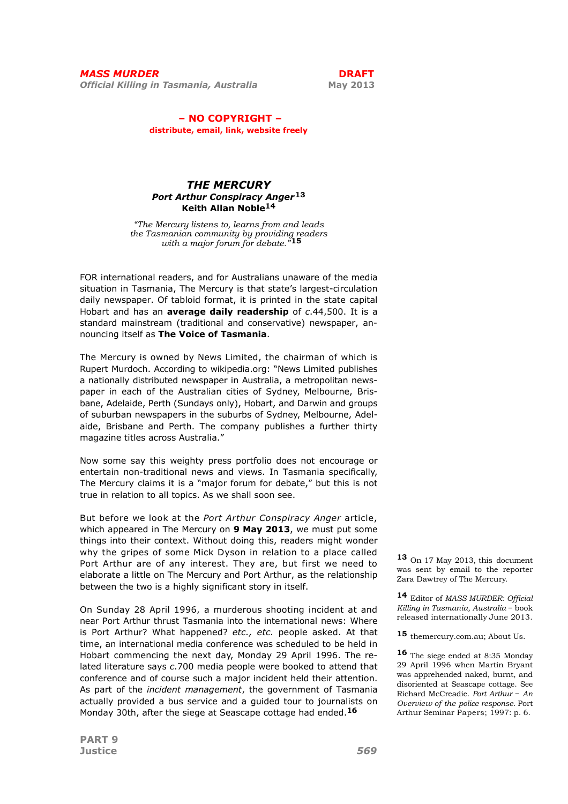## – NO COPYRIGHT – distribute, email, link, website freely

# THE MERCURY Port Arthur Conspiracy Anger<sup>13</sup> Keith Allan Noble14

"The Mercury listens to, learns from and leads the Tasmanian community by providing readers<br>with a major forum for debate."15

FOR international readers, and for Australians unaware of the media situation in Tasmania, The Mercury is that state's largest-circulation daily newspaper. Of tabloid format, it is printed in the state capital Hobart and has an average daily readership of c.44,500. It is a standard mainstream (traditional and conservative) newspaper, announcing itself as The Voice of Tasmania.

The Mercury is owned by News Limited, the chairman of which is Rupert Murdoch. According to wikipedia.org: "News Limited publishes a nationally distributed newspaper in Australia, a metropolitan newspaper in each of the Australian cities of Sydney, Melbourne, Brisbane, Adelaide, Perth (Sundays only), Hobart, and Darwin and groups of suburban newspapers in the suburbs of Sydney, Melbourne, Adelaide, Brisbane and Perth. The company publishes a further thirty magazine titles across Australia."

Now some say this weighty press portfolio does not encourage or entertain non-traditional news and views. In Tasmania specifically, The Mercury claims it is a "major forum for debate," but this is not true in relation to all topics. As we shall soon see.

But before we look at the Port Arthur Conspiracy Anger article, which appeared in The Mercury on 9 May 2013, we must put some things into their context. Without doing this, readers might wonder why the gripes of some Mick Dyson in relation to a place called Port Arthur are of any interest. They are, but first we need to elaborate a little on The Mercury and Port Arthur, as the relationship between the two is a highly significant story in itself.

On Sunday 28 April 1996, a murderous shooting incident at and near Port Arthur thrust Tasmania into the international news: Where is Port Arthur? What happened? etc., etc. people asked. At that time, an international media conference was scheduled to be held in Hobart commencing the next day, Monday 29 April 1996. The related literature says c.700 media people were booked to attend that conference and of course such a major incident held their attention. As part of the *incident management*, the government of Tasmania actually provided a bus service and a guided tour to journalists on Monday 30th, after the siege at Seascape cottage had ended.<sup>16</sup>

13 On 17 May 2013, this document was sent by email to the reporter Zara Dawtrey of The Mercury.

14 Editor of MASS MURDER: Official Killing in Tasmania, Australia – book released internationally June 2013.

15 themercury.com.au; About Us.

16 The siege ended at 8:35 Monday 29 April 1996 when Martin Bryant was apprehended naked, burnt, and disoriented at Seascape cottage. See Richard McCreadie. Port Arthur – An Overview of the police response. Port Arthur Seminar Papers; 1997: p. 6.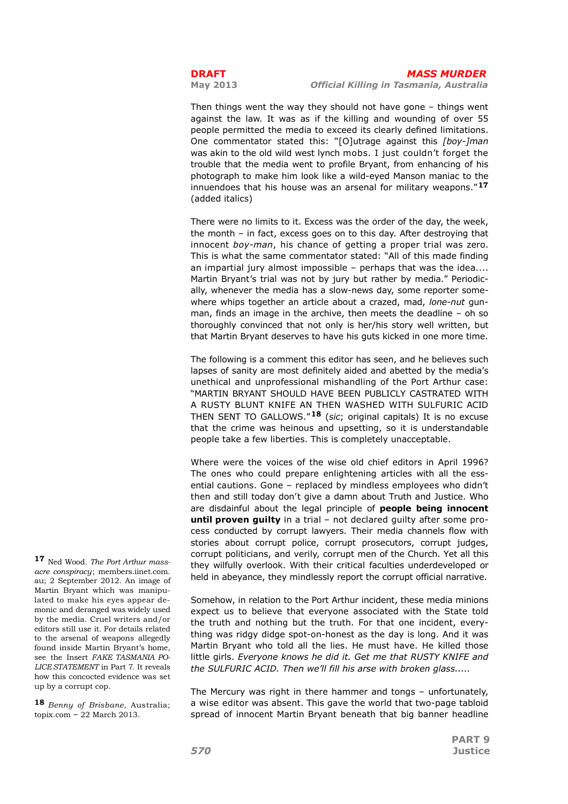Then things went the way they should not have gone – things went against the law. It was as if the killing and wounding of over 55 people permitted the media to exceed its clearly defined limitations. One commentator stated this: "[O]utrage against this [boy-]man was akin to the old wild west lynch mobs. I just couldn't forget the trouble that the media went to profile Bryant, from enhancing of his photograph to make him look like a wild-eyed Manson maniac to the innuendoes that his house was an arsenal for military weapons."17 (added italics)

There were no limits to it. Excess was the order of the day, the week, the month – in fact, excess goes on to this day. After destroying that innocent boy-man, his chance of getting a proper trial was zero. This is what the same commentator stated: "All of this made finding an impartial jury almost impossible – perhaps that was the idea.... Martin Bryant's trial was not by jury but rather by media." Periodically, whenever the media has a slow-news day, some reporter somewhere whips together an article about a crazed, mad, lone-nut gunman, finds an image in the archive, then meets the deadline – oh so thoroughly convinced that not only is her/his story well written, but that Martin Bryant deserves to have his guts kicked in one more time.

The following is a comment this editor has seen, and he believes such lapses of sanity are most definitely aided and abetted by the media's unethical and unprofessional mishandling of the Port Arthur case: "MARTIN BRYANT SHOULD HAVE BEEN PUBLICLY CASTRATED WITH A RUSTY BLUNT KNIFE AN THEN WASHED WITH SULFURIC ACID THEN SENT TO GALLOWS."<sup>18</sup> (sic: original capitals) It is no excuse that the crime was heinous and upsetting, so it is understandable people take a few liberties. This is completely unacceptable.

Where were the voices of the wise old chief editors in April 1996? The ones who could prepare enlightening articles with all the essential cautions. Gone – replaced by mindless employees who didn't then and still today don't give a damn about Truth and Justice. Who are disdainful about the legal principle of **people being innocent** until proven quilty in a trial – not declared quilty after some process conducted by corrupt lawyers. Their media channels flow with stories about corrupt police, corrupt prosecutors, corrupt judges, corrupt politicians, and verily, corrupt men of the Church. Yet all this they wilfully overlook. With their critical faculties underdeveloped or held in abeyance, they mindlessly report the corrupt official narrative.

Somehow, in relation to the Port Arthur incident, these media minions expect us to believe that everyone associated with the State told the truth and nothing but the truth. For that one incident, everything was ridgy didge spot-on-honest as the day is long. And it was Martin Bryant who told all the lies. He must have. He killed those little girls. Everyone knows he did it. Get me that RUSTY KNIFE and the SULFURIC ACID. Then we'll fill his arse with broken glass.....

The Mercury was right in there hammer and tongs – unfortunately, a wise editor was absent. This gave the world that two-page tabloid spread of innocent Martin Bryant beneath that big banner headline

17 Ned Wood. The Port Arthur massacre conspiracy; members.iinet.com. au; 2 September 2012. An image of Martin Bryant which was manipulated to make his eyes appear demonic and deranged was widely used by the media. Cruel writers and/or editors still use it. For details related to the arsenal of weapons allegedly found inside Martin Bryant's home, see the Insert FAKE TASMANIA PO-LICE STATEMENT in Part 7. It reveals how this concocted evidence was set up by a corrupt cop.

18 Benny of Brisbane, Australia; topix.com – 22 March 2013.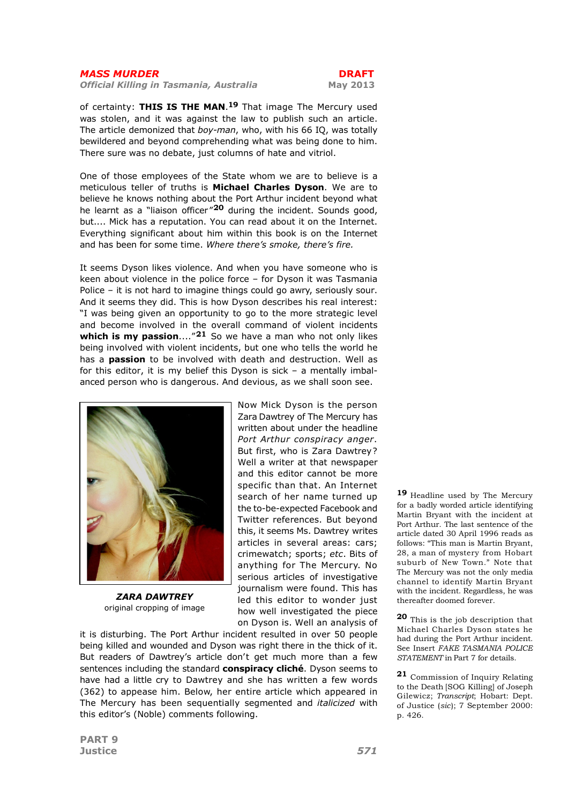Official Killing in Tasmania, Australia May 2013

of certainty: THIS IS THE MAN.<sup>19</sup> That image The Mercury used was stolen, and it was against the law to publish such an article. The article demonized that boy-man, who, with his 66 IQ, was totally bewildered and beyond comprehending what was being done to him. There sure was no debate, just columns of hate and vitriol.

One of those employees of the State whom we are to believe is a meticulous teller of truths is Michael Charles Dyson. We are to believe he knows nothing about the Port Arthur incident beyond what he learnt as a "liaison officer" $20$  during the incident. Sounds good, but.... Mick has a reputation. You can read about it on the Internet. Everything significant about him within this book is on the Internet and has been for some time. Where there's smoke, there's fire.

It seems Dyson likes violence. And when you have someone who is keen about violence in the police force – for Dyson it was Tasmania Police – it is not hard to imagine things could go awry, seriously sour. And it seems they did. This is how Dyson describes his real interest: "I was being given an opportunity to go to the more strategic level and become involved in the overall command of violent incidents which is my passion...." $21$  So we have a man who not only likes being involved with violent incidents, but one who tells the world he has a **passion** to be involved with death and destruction. Well as for this editor, it is my belief this Dyson is sick – a mentally imbalanced person who is dangerous. And devious, as we shall soon see.



ZARA DAWTREY original cropping of image

Now Mick Dyson is the person Zara Dawtrey of The Mercury has written about under the headline Port Arthur conspiracy anger. But first, who is Zara Dawtrey? Well a writer at that newspaper and this editor cannot be more specific than that. An Internet search of her name turned up the to-be-expected Facebook and Twitter references. But beyond this, it seems Ms. Dawtrey writes articles in several areas: cars; crimewatch; sports; etc. Bits of anything for The Mercury. No serious articles of investigative journalism were found. This has led this editor to wonder just how well investigated the piece on Dyson is. Well an analysis of

it is disturbing. The Port Arthur incident resulted in over 50 people being killed and wounded and Dyson was right there in the thick of it. But readers of Dawtrey's article don't get much more than a few sentences including the standard conspiracy cliché. Dyson seems to have had a little cry to Dawtrey and she has written a few words (362) to appease him. Below, her entire article which appeared in The Mercury has been sequentially segmented and *italicized* with this editor's (Noble) comments following.

19 Headline used by The Mercury for a badly worded article identifying Martin Bryant with the incident at Port Arthur. The last sentence of the article dated 30 April 1996 reads as follows: "This man is Martin Bryant, 28, a man of mystery from Hobart suburb of New Town." Note that The Mercury was not the only media channel to identify Martin Bryant with the incident. Regardless, he was thereafter doomed forever.

20 This is the job description that Michael Charles Dyson states he had during the Port Arthur incident. See Insert FAKE TASMANIA POLICE STATEMENT in Part 7 for details.

21 Commission of Inquiry Relating to the Death [SOG Killing] of Joseph Gilewicz; Transcript; Hobart: Dept. of Justice (sic); 7 September 2000: p. 426.

PART 9 Justice 571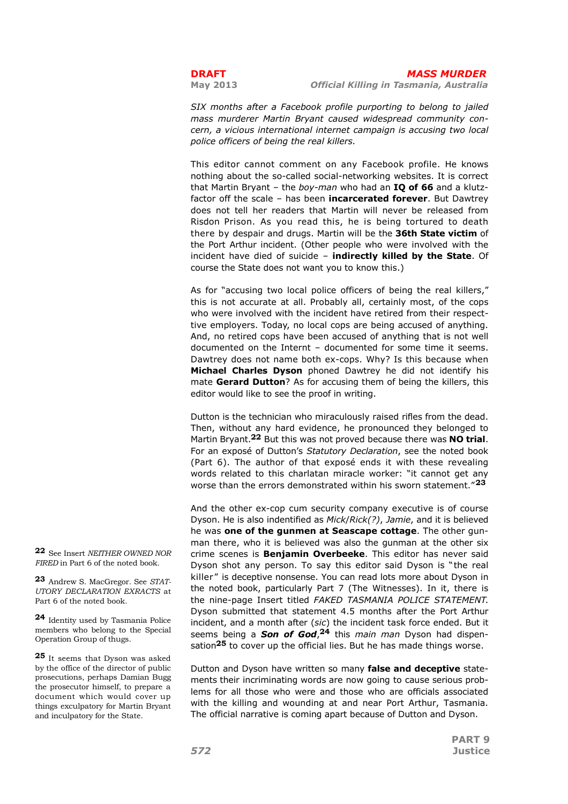SIX months after a Facebook profile purporting to belong to jailed mass murderer Martin Bryant caused widespread community concern, a vicious international internet campaign is accusing two local police officers of being the real killers.

This editor cannot comment on any Facebook profile. He knows nothing about the so-called social-networking websites. It is correct that Martin Bryant – the boy-man who had an  $IQ$  of 66 and a klutzfactor off the scale - has been incarcerated forever. But Dawtrey does not tell her readers that Martin will never be released from Risdon Prison. As you read this, he is being tortured to death there by despair and drugs. Martin will be the 36th State victim of the Port Arthur incident. (Other people who were involved with the incident have died of suicide – indirectly killed by the State. Of course the State does not want you to know this.)

As for "accusing two local police officers of being the real killers," this is not accurate at all. Probably all, certainly most, of the cops who were involved with the incident have retired from their respecttive employers. Today, no local cops are being accused of anything. And, no retired cops have been accused of anything that is not well documented on the Internt – documented for some time it seems. Dawtrey does not name both ex-cops. Why? Is this because when Michael Charles Dyson phoned Dawtrey he did not identify his mate Gerard Dutton? As for accusing them of being the killers, this editor would like to see the proof in writing.

Dutton is the technician who miraculously raised rifles from the dead. Then, without any hard evidence, he pronounced they belonged to Martin Brvant.<sup>22</sup> But this was not proved because there was **NO trial.** For an exposé of Dutton's Statutory Declaration, see the noted book (Part 6). The author of that exposé ends it with these revealing words related to this charlatan miracle worker: "it cannot get any worse than the errors demonstrated within his sworn statement."23

And the other ex-cop cum security company executive is of course Dyson. He is also indentified as Mick/Rick(?), Jamie, and it is believed he was one of the gunmen at Seascape cottage. The other gunman there, who it is believed was also the gunman at the other six crime scenes is **Benjamin Overbeeke**. This editor has never said Dyson shot any person. To say this editor said Dyson is " the real killer" is deceptive nonsense. You can read lots more about Dyson in the noted book, particularly Part 7 (The Witnesses). In it, there is the nine-page Insert titled FAKED TASMANIA POLICE STATEMENT. Dyson submitted that statement 4.5 months after the Port Arthur incident, and a month after (sic) the incident task force ended. But it seems being a **Son of God**,<sup>24</sup> this main man Dyson had dispensation<sup>25</sup> to cover up the official lies. But he has made things worse.

Dutton and Dyson have written so many false and deceptive statements their incriminating words are now going to cause serious problems for all those who were and those who are officials associated with the killing and wounding at and near Port Arthur, Tasmania. The official narrative is coming apart because of Dutton and Dyson.

22 See Insert NEITHER OWNED NOR FIRED in Part 6 of the noted book.

23 Andrew S. MacGregor. See STAT-UTORY DECLARATION EXRACTS at Part 6 of the noted book.

24 Identity used by Tasmania Police members who belong to the Special Operation Group of thugs.

25 It seems that Dyson was asked by the office of the director of public prosecutions, perhaps Damian Bugg the prosecutor himself, to prepare a document which would cover up things exculpatory for Martin Bryant and inculpatory for the State.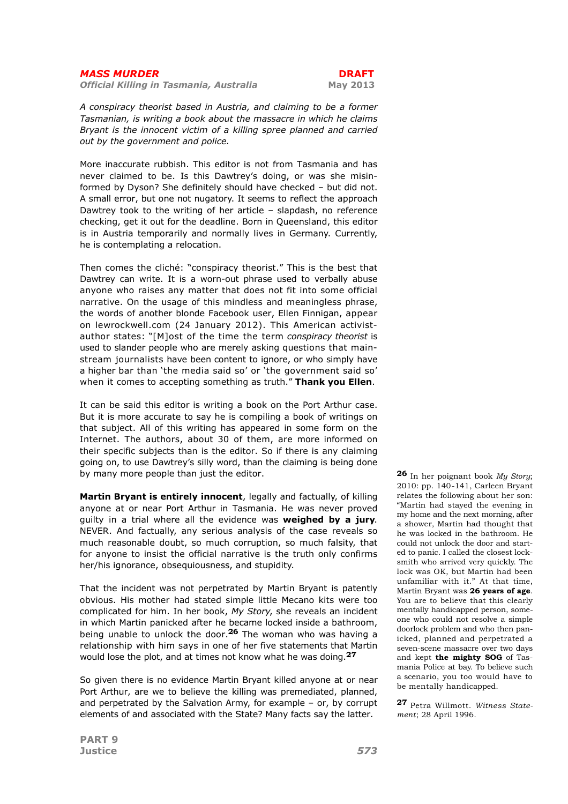Official Killing in Tasmania, Australia May 2013

A conspiracy theorist based in Austria, and claiming to be a former Tasmanian, is writing a book about the massacre in which he claims Bryant is the innocent victim of a killing spree planned and carried out by the government and police.

More inaccurate rubbish. This editor is not from Tasmania and has never claimed to be. Is this Dawtrey's doing, or was she misinformed by Dyson? She definitely should have checked – but did not. A small error, but one not nugatory. It seems to reflect the approach Dawtrey took to the writing of her article – slapdash, no reference checking, get it out for the deadline. Born in Queensland, this editor is in Austria temporarily and normally lives in Germany. Currently, he is contemplating a relocation.

Then comes the cliché: "conspiracy theorist." This is the best that Dawtrey can write. It is a worn-out phrase used to verbally abuse anyone who raises any matter that does not fit into some official narrative. On the usage of this mindless and meaningless phrase, the words of another blonde Facebook user, Ellen Finnigan, appear on lewrockwell.com (24 January 2012). This American activistauthor states: "[M]ost of the time the term conspiracy theorist is used to slander people who are merely asking questions that mainstream journalists have been content to ignore, or who simply have a higher bar than 'the media said so' or 'the government said so' when it comes to accepting something as truth." Thank you Ellen.

It can be said this editor is writing a book on the Port Arthur case. But it is more accurate to say he is compiling a book of writings on that subject. All of this writing has appeared in some form on the Internet. The authors, about 30 of them, are more informed on their specific subjects than is the editor. So if there is any claiming going on, to use Dawtrey's silly word, than the claiming is being done by many more people than just the editor.

Martin Bryant is entirely innocent, legally and factually, of killing anyone at or near Port Arthur in Tasmania. He was never proved quilty in a trial where all the evidence was weighed by a jury. NEVER. And factually, any serious analysis of the case reveals so much reasonable doubt, so much corruption, so much falsity, that for anyone to insist the official narrative is the truth only confirms her/his ignorance, obsequiousness, and stupidity.

That the incident was not perpetrated by Martin Bryant is patently obvious. His mother had stated simple little Mecano kits were too complicated for him. In her book, My Story, she reveals an incident in which Martin panicked after he became locked inside a bathroom. being unable to unlock the door.<sup>26</sup> The woman who was having a relationship with him says in one of her five statements that Martin would lose the plot, and at times not know what he was doing.<sup>27</sup>

So given there is no evidence Martin Bryant killed anyone at or near Port Arthur, are we to believe the killing was premediated, planned, and perpetrated by the Salvation Army, for example – or, by corrupt elements of and associated with the State? Many facts say the latter.

**26** In her poignant book  $My$  Story; 2010: pp. 140-141, Carleen Bryant relates the following about her son: "Martin had stayed the evening in my home and the next morning, after a shower, Martin had thought that he was locked in the bathroom. He could not unlock the door and started to panic. I called the closest locksmith who arrived very quickly. The lock was OK, but Martin had been unfamiliar with it." At that time, Martin Bryant was 26 years of age. You are to believe that this clearly mentally handicapped person, someone who could not resolve a simple doorlock problem and who then panicked, planned and perpetrated a seven-scene massacre over two days and kept the mighty SOG of Tasmania Police at bay. To believe such a scenario, you too would have to be mentally handicapped.

27 Petra Willmott. Witness Statement; 28 April 1996.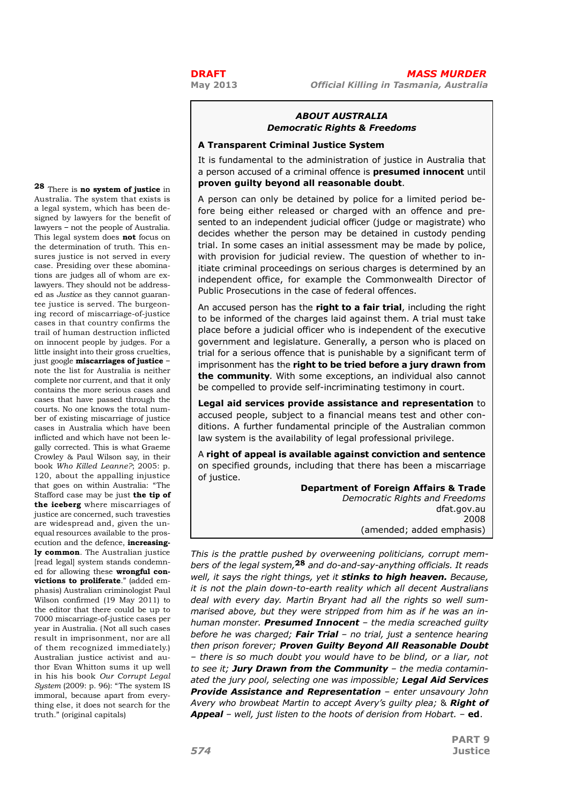# ABOUT AUSTRALIA Democratic Rights & Freedoms

## A Transparent Criminal Justice System

It is fundamental to the administration of justice in Australia that a person accused of a criminal offence is **presumed innocent** until proven guilty beyond all reasonable doubt.

A person can only be detained by police for a limited period before being either released or charged with an offence and presented to an independent judicial officer (judge or magistrate) who decides whether the person may be detained in custody pending trial. In some cases an initial assessment may be made by police, with provision for judicial review. The question of whether to initiate criminal proceedings on serious charges is determined by an independent office, for example the Commonwealth Director of Public Prosecutions in the case of federal offences.

An accused person has the right to a fair trial, including the right to be informed of the charges laid against them. A trial must take place before a judicial officer who is independent of the executive government and legislature. Generally, a person who is placed on trial for a serious offence that is punishable by a significant term of imprisonment has the right to be tried before a jury drawn from the community. With some exceptions, an individual also cannot be compelled to provide self-incriminating testimony in court.

Legal aid services provide assistance and representation to accused people, subject to a financial means test and other conditions. A further fundamental principle of the Australian common law system is the availability of legal professional privilege.

A right of appeal is available against conviction and sentence on specified grounds, including that there has been a miscarriage of justice.

> Department of Foreign Affairs & Trade Democratic Rights and Freedoms dfat.gov.au 2008 (amended; added emphasis)

This is the prattle pushed by overweening politicians, corrupt members of the legal system,28 and do-and-say-anything officials. It reads well, it says the right things, yet it stinks to high heaven. Because, it is not the plain down-to-earth reality which all decent Australians deal with every day. Martin Bryant had all the rights so well summarised above, but they were stripped from him as if he was an inhuman monster. Presumed Innocent - the media screached guilty before he was charged; Fair Trial – no trial, just a sentence hearing then prison forever; Proven Guilty Bevond All Reasonable Doubt – there is so much doubt you would have to be blind, or a liar, not to see it; Jury Drawn from the Community  $-$  the media contaminated the jury pool, selecting one was impossible; Legal Aid Services **Provide Assistance and Representation** - enter unsavoury John Avery who browbeat Martin to accept Avery's quilty plea; & Right of **Appeal** – well, just listen to the hoots of derision from Hobart.  $-$  ed.

28 There is no system of justice in Australia. The system that exists is a legal system, which has been designed by lawyers for the benefit of lawyers – not the people of Australia. This legal system does not focus on the determination of truth. This ensures justice is not served in every case. Presiding over these abominations are judges all of whom are exlawyers. They should not be addressed as Justice as they cannot guarantee justice is served. The burgeoning record of miscarriage-of-justice cases in that country confirms the trail of human destruction inflicted on innocent people by judges. For a little insight into their gross cruelties, just google miscarriages of justice – note the list for Australia is neither complete nor current, and that it only contains the more serious cases and cases that have passed through the courts. No one knows the total number of existing miscarriage of justice cases in Australia which have been inflicted and which have not been legally corrected. This is what Graeme Crowley & Paul Wilson say, in their book Who Killed Leanne?; 2005: p. 120, about the appalling injustice that goes on within Australia: "The Stafford case may be just the tip of the iceberg where miscarriages of justice are concerned, such travesties are widespread and, given the unequal resources available to the prosecution and the defence, increasingly common. The Australian justice [read legal] system stands condemned for allowing these wrongful convictions to proliferate." (added emphasis) Australian criminologist Paul Wilson confirmed (19 May 2011) to the editor that there could be up to 7000 miscarriage-of-justice cases per year in Australia. (Not all such cases result in imprisonment, nor are all of them recognized immediately.) Australian justice activist and author Evan Whitton sums it up well in his his book Our Corrupt Legal System (2009: p. 96): "The system IS immoral, because apart from everything else, it does not search for the truth." (original capitals)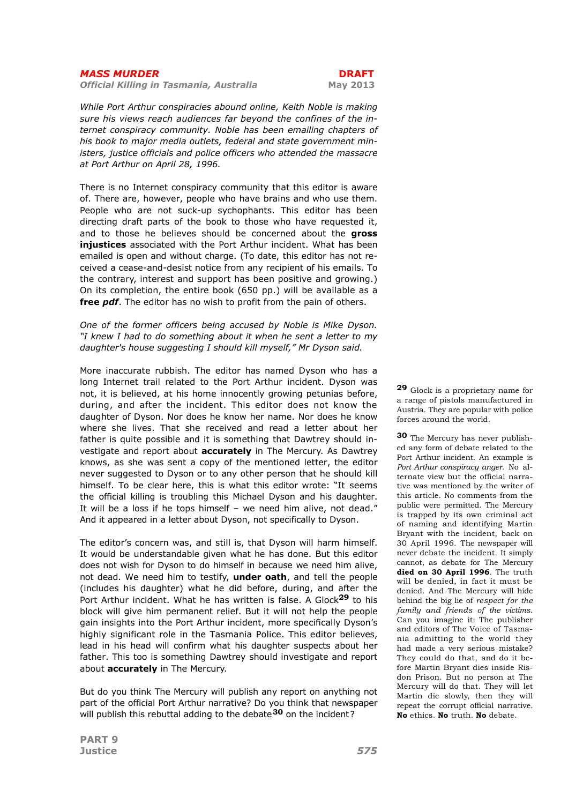Official Killing in Tasmania, Australia May 2013

While Port Arthur conspiracies abound online, Keith Noble is making sure his views reach audiences far beyond the confines of the internet conspiracy community. Noble has been emailing chapters of his book to major media outlets, federal and state government ministers, justice officials and police officers who attended the massacre at Port Arthur on April 28, 1996.

There is no Internet conspiracy community that this editor is aware of. There are, however, people who have brains and who use them. People who are not suck-up sychophants. This editor has been directing draft parts of the book to those who have requested it, and to those he believes should be concerned about the **gross** injustices associated with the Port Arthur incident. What has been emailed is open and without charge. (To date, this editor has not received a cease-and-desist notice from any recipient of his emails. To the contrary, interest and support has been positive and growing.) On its completion, the entire book (650 pp.) will be available as a free *pdf*. The editor has no wish to profit from the pain of others.

### One of the former officers being accused by Noble is Mike Dyson. "I knew I had to do something about it when he sent a letter to my daughter's house suggesting I should kill myself," Mr Dyson said.

More inaccurate rubbish. The editor has named Dyson who has a long Internet trail related to the Port Arthur incident. Dyson was not, it is believed, at his home innocently growing petunias before, during, and after the incident. This editor does not know the daughter of Dyson. Nor does he know her name. Nor does he know where she lives. That she received and read a letter about her father is quite possible and it is something that Dawtrey should investigate and report about **accurately** in The Mercury. As Dawtrey knows, as she was sent a copy of the mentioned letter, the editor never suggested to Dyson or to any other person that he should kill himself. To be clear here, this is what this editor wrote: "It seems the official killing is troubling this Michael Dyson and his daughter. It will be a loss if he tops himself – we need him alive, not dead." And it appeared in a letter about Dyson, not specifically to Dyson.

The editor's concern was, and still is, that Dyson will harm himself. It would be understandable given what he has done. But this editor does not wish for Dyson to do himself in because we need him alive, not dead. We need him to testify, under oath, and tell the people (includes his daughter) what he did before, during, and after the Port Arthur incident. What he has written is false. A Glock<sup>29</sup> to his block will give him permanent relief. But it will not help the people gain insights into the Port Arthur incident, more specifically Dyson's highly significant role in the Tasmania Police. This editor believes, lead in his head will confirm what his daughter suspects about her father. This too is something Dawtrey should investigate and report about **accurately** in The Mercury.

But do you think The Mercury will publish any report on anything not part of the official Port Arthur narrative? Do you think that newspaper will publish this rebuttal adding to the debate<sup>30</sup> on the incident?

29 Glock is a proprietary name for a range of pistols manufactured in Austria. They are popular with police forces around the world.

30 The Mercury has never published any form of debate related to the Port Arthur incident. An example is Port Arthur conspiracy anger. No alternate view but the official narrative was mentioned by the writer of this article. No comments from the public were permitted. The Mercury is trapped by its own criminal act of naming and identifying Martin Bryant with the incident, back on 30 April 1996. The newspaper will never debate the incident. It simply cannot, as debate for The Mercury died on 30 April 1996. The truth will be denied, in fact it must be denied. And The Mercury will hide behind the big lie of respect for the family and friends of the victims. Can you imagine it: The publisher and editors of The Voice of Tasmania admitting to the world they had made a very serious mistake? They could do that, and do it before Martin Bryant dies inside Risdon Prison. But no person at The Mercury will do that. They will let Martin die slowly, then they will repeat the corrupt official narrative. No ethics. No truth. No debate.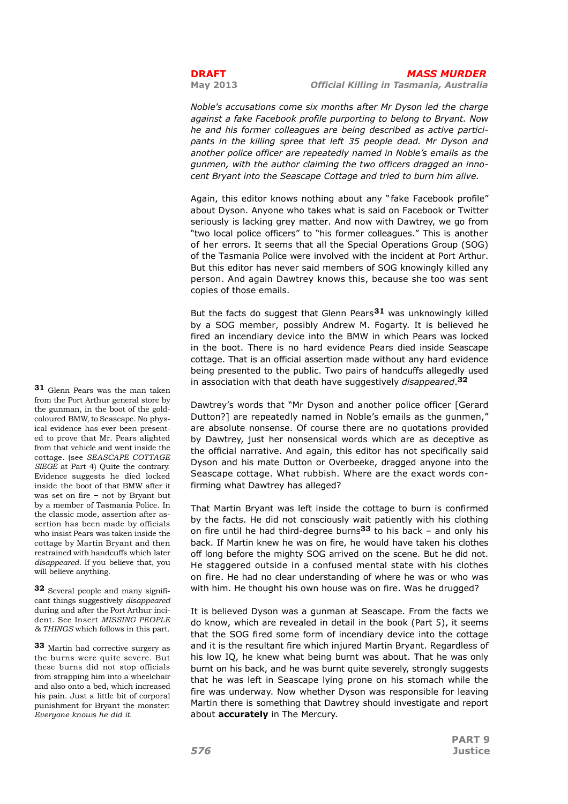Noble's accusations come six months after Mr Dyson led the charge against a fake Facebook profile purporting to belong to Bryant. Now he and his former colleagues are being described as active participants in the killing spree that left 35 people dead. Mr Dyson and another police officer are repeatedly named in Noble's emails as the gunmen, with the author claiming the two officers dragged an innocent Bryant into the Seascape Cottage and tried to burn him alive.

Again, this editor knows nothing about any " fake Facebook profile" about Dyson. Anyone who takes what is said on Facebook or Twitter seriously is lacking grey matter. And now with Dawtrey, we go from "two local police officers" to "his former colleagues." This is another of her errors. It seems that all the Special Operations Group (SOG) of the Tasmania Police were involved with the incident at Port Arthur. But this editor has never said members of SOG knowingly killed any person. And again Dawtrey knows this, because she too was sent copies of those emails.

But the facts do suggest that Glenn Pears  $31$  was unknowingly killed by a SOG member, possibly Andrew M. Fogarty. It is believed he fired an incendiary device into the BMW in which Pears was locked in the boot. There is no hard evidence Pears died inside Seascape cottage. That is an official assertion made without any hard evidence being presented to the public. Two pairs of handcuffs allegedly used in association with that death have suggestively *disappeared*.<sup>32</sup>

Dawtrey's words that "Mr Dyson and another police officer [Gerard Dutton?] are repeatedly named in Noble's emails as the gunmen," are absolute nonsense. Of course there are no quotations provided by Dawtrey, just her nonsensical words which are as deceptive as the official narrative. And again, this editor has not specifically said Dyson and his mate Dutton or Overbeeke, dragged anyone into the Seascape cottage. What rubbish. Where are the exact words confirming what Dawtrey has alleged?

That Martin Bryant was left inside the cottage to burn is confirmed by the facts. He did not consciously wait patiently with his clothing on fire until he had third-degree burns<sup>33</sup> to his back – and only his back. If Martin knew he was on fire, he would have taken his clothes off long before the mighty SOG arrived on the scene. But he did not. He staggered outside in a confused mental state with his clothes on fire. He had no clear understanding of where he was or who was with him. He thought his own house was on fire. Was he drugged?

It is believed Dyson was a gunman at Seascape. From the facts we do know, which are revealed in detail in the book (Part 5), it seems that the SOG fired some form of incendiary device into the cottage and it is the resultant fire which injured Martin Bryant. Regardless of his low IQ, he knew what being burnt was about. That he was only burnt on his back, and he was burnt quite severely, strongly suggests that he was left in Seascape lying prone on his stomach while the fire was underway. Now whether Dyson was responsible for leaving Martin there is something that Dawtrey should investigate and report about **accurately** in The Mercury.

31 Glenn Pears was the man taken from the Port Arthur general store by the gunman, in the boot of the goldcoloured BMW, to Seascape. No physical evidence has ever been presented to prove that Mr. Pears alighted from that vehicle and went inside the cottage. (see SEASCAPE COTTAGE SIEGE at Part 4) Quite the contrary. Evidence suggests he died locked inside the boot of that BMW after it was set on fire – not by Bryant but by a member of Tasmania Police. In the classic mode, assertion after assertion has been made by officials who insist Pears was taken inside the cottage by Martin Bryant and then restrained with handcuffs which later disappeared. If you believe that, you will believe anything.

32 Several people and many significant things suggestively disappeared during and after the Port Arthur incident. See Insert MISSING PEOPLE & THINGS which follows in this part.

33 Martin had corrective surgery as the burns were quite severe. But these burns did not stop officials from strapping him into a wheelchair and also onto a bed, which increased his pain. Just a little bit of corporal punishment for Bryant the monster: Everyone knows he did it.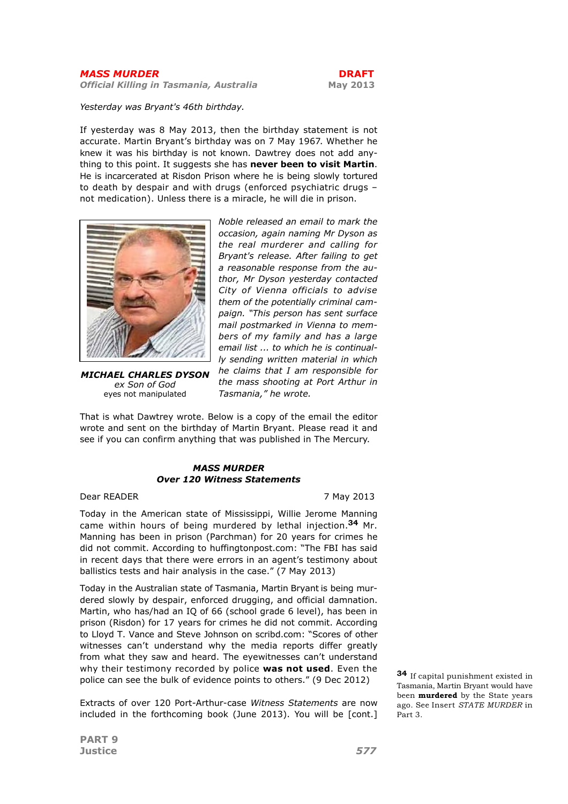Official Killing in Tasmania, Australia May 2013

Yesterday was Bryant's 46th birthday.

If yesterday was 8 May 2013, then the birthday statement is not accurate. Martin Bryant's birthday was on 7 May 1967. Whether he knew it was his birthday is not known. Dawtrey does not add anything to this point. It suggests she has never been to visit Martin. He is incarcerated at Risdon Prison where he is being slowly tortured to death by despair and with drugs (enforced psychiatric drugs – not medication). Unless there is a miracle, he will die in prison.



MICHAEL CHARLES DYSON ex Son of God eyes not manipulated

Noble released an email to mark the occasion, again naming Mr Dyson as the real murderer and calling for Bryant's release. After failing to get a reasonable response from the author, Mr Dyson yesterday contacted City of Vienna officials to advise them of the potentially criminal campaign. "This person has sent surface mail postmarked in Vienna to members of my family and has a large email list ... to which he is continually sending written material in which he claims that I am responsible for the mass shooting at Port Arthur in Tasmania," he wrote.

That is what Dawtrey wrote. Below is a copy of the email the editor wrote and sent on the birthday of Martin Bryant. Please read it and see if you can confirm anything that was published in The Mercury.

# MASS MURDER Over 120 Witness Statements

Dear READER 7 May 2013

Today in the American state of Mississippi, Willie Jerome Manning came within hours of being murdered by lethal injection.<sup>34</sup> Mr. Manning has been in prison (Parchman) for 20 years for crimes he did not commit. According to huffingtonpost.com: "The FBI has said in recent days that there were errors in an agent's testimony about ballistics tests and hair analysis in the case." (7 May 2013)

Today in the Australian state of Tasmania, Martin Bryant is being murdered slowly by despair, enforced drugging, and official damnation. Martin, who has/had an IQ of 66 (school grade 6 level), has been in prison (Risdon) for 17 years for crimes he did not commit. According to Lloyd T. Vance and Steve Johnson on scribd.com: "Scores of other witnesses can't understand why the media reports differ greatly from what they saw and heard. The eyewitnesses can't understand why their testimony recorded by police was not used. Even the police can see the bulk of evidence points to others." (9 Dec 2012)

Extracts of over 120 Port-Arthur-case Witness Statements are now included in the forthcoming book (June 2013). You will be [cont.]

34 If capital punishment existed in Tasmania, Martin Bryant would have been murdered by the State years ago. See Insert STATE MURDER in Part 3.